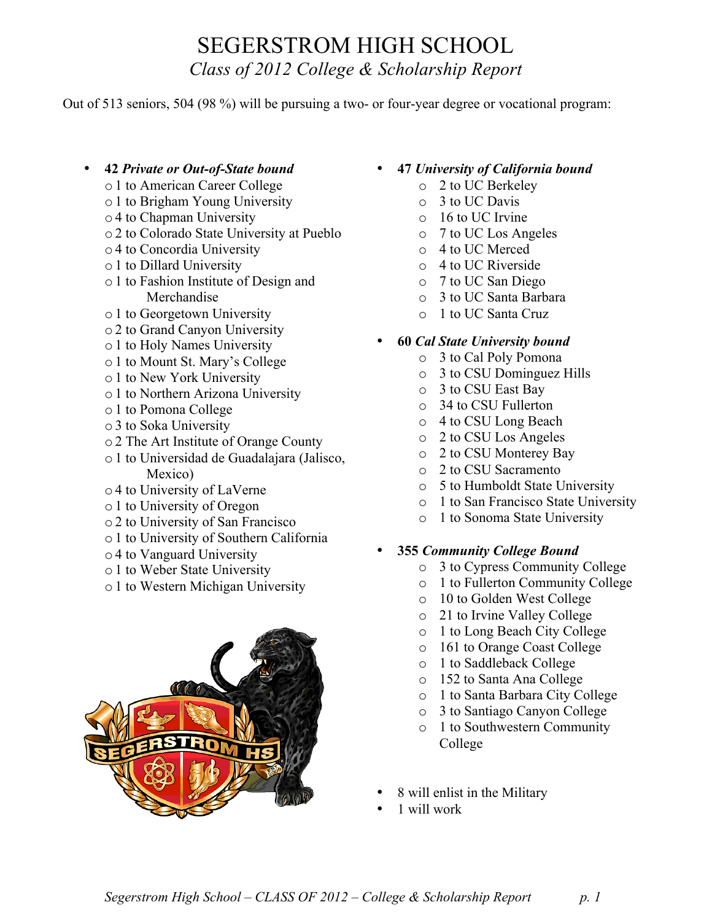### SEGERSTROM HIGH SCHOOL *Class of 2012 College & Scholarship Report*

Out of 513 seniors, 504 (98 %) will be pursuing a two- or four-year degree or vocational program:

- **42** *Private or Out-of-State bound*
	- o1 to American Career College
	- o1 to Brigham Young University
	- o4 to Chapman University
	- o2 to Colorado State University at Pueblo
	- o4 to Concordia University
	- o1 to Dillard University
	- o1 to Fashion Institute of Design and Merchandise
	- o1 to Georgetown University
	- o2 to Grand Canyon University
	- o1 to Holy Names University
	- o1 to Mount St. Mary's College
	- o1 to New York University
	- o1 to Northern Arizona University
	- o1 to Pomona College
	- o3 to Soka University
	- o2 The Art Institute of Orange County
	- o1 to Universidad de Guadalajara (Jalisco, Mexico)
	- o4 to University of LaVerne
	- o1 to University of Oregon
	- o2 to University of San Francisco
	- o1 to University of Southern California
	- o4 to Vanguard University
	- o1 to Weber State University
	- o1 to Western Michigan University



- **47** *University of California bound*
	- o 2 to UC Berkeley
	- o 3 to UC Davis
	- o 16 to UC Irvine
	- o 7 to UC Los Angeles
	- o 4 to UC Merced
	- o 4 to UC Riverside
	- o 7 to UC San Diego
	- o 3 to UC Santa Barbara
	- o 1 to UC Santa Cruz

#### • **60** *Cal State University bound*

- o 3 to Cal Poly Pomona
- o 3 to CSU Dominguez Hills
- o 3 to CSU East Bay
- o 34 to CSU Fullerton
- o 4 to CSU Long Beach
- o 2 to CSU Los Angeles
- o 2 to CSU Monterey Bay
- o 2 to CSU Sacramento
- o 5 to Humboldt State University
- o 1 to San Francisco State University
- o 1 to Sonoma State University

#### • **355** *Community College Bound*

- o 3 to Cypress Community College
- o 1 to Fullerton Community College
- o 10 to Golden West College
- o 21 to Irvine Valley College
- o 1 to Long Beach City College
- o 161 to Orange Coast College
- o 1 to Saddleback College
- o 152 to Santa Ana College
- o 1 to Santa Barbara City College
- o 3 to Santiago Canyon College
- o 1 to Southwestern Community College
- 8 will enlist in the Military
- 1 will work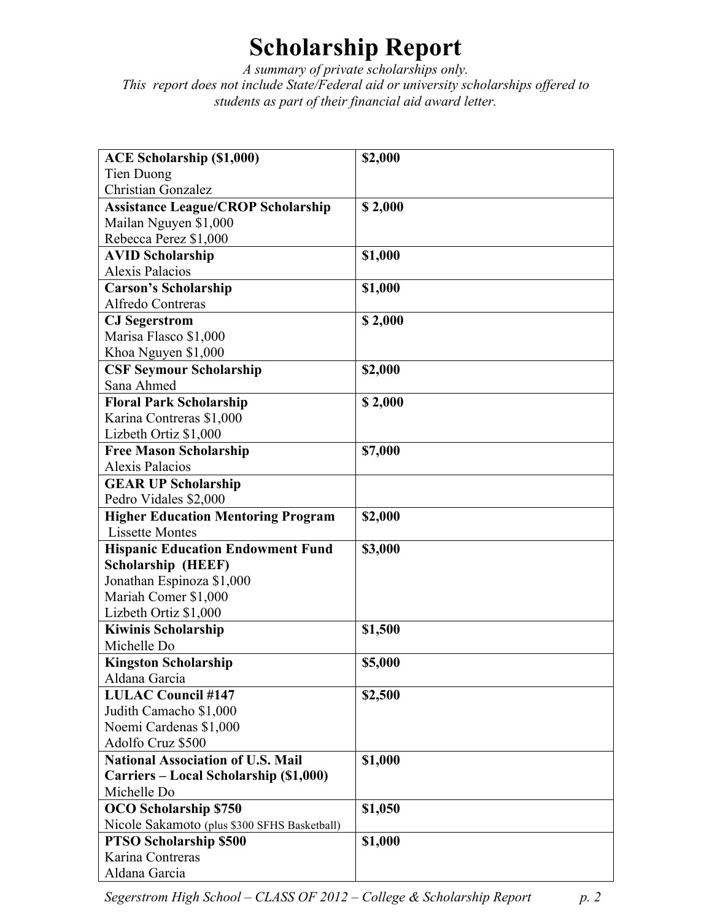# **Scholarship Report**

*A summary of private scholarships only. This report does not include State/Federal aid or university scholarships offered to students as part of their financial aid award letter.*

| <b>ACE Scholarship (\$1,000)</b>                                              | \$2,000 |
|-------------------------------------------------------------------------------|---------|
| Tien Duong                                                                    |         |
| <b>Christian Gonzalez</b>                                                     |         |
| <b>Assistance League/CROP Scholarship</b>                                     | \$2,000 |
| Mailan Nguyen \$1,000                                                         |         |
| Rebecca Perez \$1,000                                                         |         |
| <b>AVID Scholarship</b>                                                       | \$1,000 |
| Alexis Palacios                                                               |         |
| <b>Carson's Scholarship</b>                                                   | \$1,000 |
| Alfredo Contreras                                                             |         |
| <b>CJ</b> Segerstrom                                                          | \$2,000 |
| Marisa Flasco \$1,000                                                         |         |
| Khoa Nguyen \$1,000                                                           |         |
| <b>CSF Seymour Scholarship</b>                                                | \$2,000 |
| Sana Ahmed                                                                    |         |
| <b>Floral Park Scholarship</b>                                                | \$2,000 |
| Karina Contreras \$1,000                                                      |         |
| Lizbeth Ortiz \$1,000                                                         |         |
| <b>Free Mason Scholarship</b>                                                 | \$7,000 |
| Alexis Palacios                                                               |         |
| <b>GEAR UP Scholarship</b>                                                    |         |
| Pedro Vidales \$2,000                                                         |         |
| <b>Higher Education Mentoring Program</b>                                     | \$2,000 |
| <b>Lissette Montes</b>                                                        |         |
| <b>Hispanic Education Endowment Fund</b>                                      | \$3,000 |
| <b>Scholarship (HEEF)</b>                                                     |         |
| Jonathan Espinoza \$1,000                                                     |         |
| Mariah Comer \$1,000                                                          |         |
| Lizbeth Ortiz \$1,000                                                         |         |
| <b>Kiwinis Scholarship</b>                                                    | \$1,500 |
| Michelle Do                                                                   |         |
| <b>Kingston Scholarship</b>                                                   | \$5,000 |
| Aldana Garcia                                                                 |         |
| <b>LULAC Council #147</b>                                                     | \$2,500 |
| Judith Camacho \$1,000                                                        |         |
| Noemi Cardenas \$1,000                                                        |         |
| Adolfo Cruz \$500                                                             |         |
| <b>National Association of U.S. Mail</b>                                      | \$1,000 |
| Carriers – Local Scholarship (\$1,000)<br>Michelle Do                         |         |
| <b>OCO</b> Scholarship \$750                                                  |         |
|                                                                               | \$1,050 |
| Nicole Sakamoto (plus \$300 SFHS Basketball)<br><b>PTSO Scholarship \$500</b> |         |
| Karina Contreras                                                              | \$1,000 |
| Aldana Garcia                                                                 |         |
|                                                                               |         |